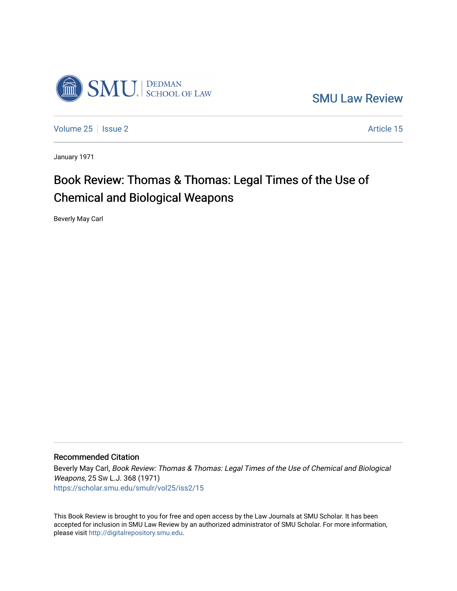

[SMU Law Review](https://scholar.smu.edu/smulr) 

[Volume 25](https://scholar.smu.edu/smulr/vol25) | [Issue 2](https://scholar.smu.edu/smulr/vol25/iss2) Article 15

January 1971

# Book Review: Thomas & Thomas: Legal Times of the Use of Chemical and Biological Weapons

Beverly May Carl

#### Recommended Citation

Beverly May Carl, Book Review: Thomas & Thomas: Legal Times of the Use of Chemical and Biological Weapons, 25 SW L.J. 368 (1971) [https://scholar.smu.edu/smulr/vol25/iss2/15](https://scholar.smu.edu/smulr/vol25/iss2/15?utm_source=scholar.smu.edu%2Fsmulr%2Fvol25%2Fiss2%2F15&utm_medium=PDF&utm_campaign=PDFCoverPages)

This Book Review is brought to you for free and open access by the Law Journals at SMU Scholar. It has been accepted for inclusion in SMU Law Review by an authorized administrator of SMU Scholar. For more information, please visit [http://digitalrepository.smu.edu.](http://digitalrepository.smu.edu/)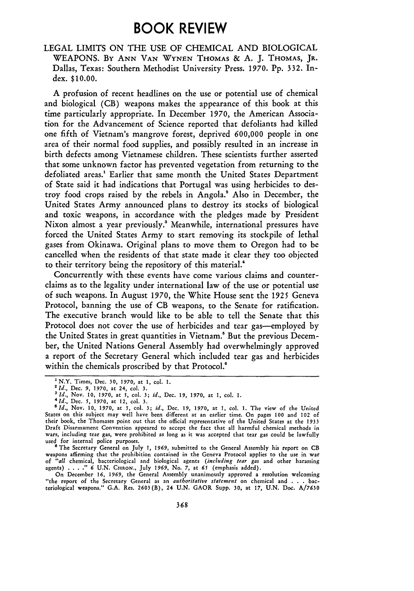## **BOOK REVIEW**

#### **LEGAL** LIMITS **ON** THE **USE** OF CHEMICAL **AND** BIOLOGICAL **WEAPONS. By ANN VAN WYNEN THOMAS & A. J. THOMAS, JR.** Dallas, Texas: Southern Methodist University Press. **1970. Pp. 332.** Index. **\$10.00.**

**A** profusion of recent headlines on the use or potential use of chemical and biological (CB) weapons makes the appearance of this book at this time particularly appropriate. In December **1970,** the American Association for the Advancement of Science reported that defoliants had killed one fifth of Vietnam's mangrove forest, deprived **600,000** people in one area of their normal food supplies, and possibly resulted in an increase in birth defects among Vietnamese children. These scientists further asserted that some unknown factor has prevented vegetation from returning to the defoliated areas.<sup>1</sup> Earlier that same month the United States Department of State said it had indications that Portugal was using herbicides to destroy food crops raised **by** the rebels in Angola.' Also in December, the United States Army announced plans to destroy its stocks of biological and toxic weapons, in accordance with the pledges made **by** President Nixon almost a year previously.' Meanwhile, international pressures have forced the United States Army to start removing its stockpile of lethal gases from Okinawa. Original plans to move them to Oregon had to be cancelled when the residents of that state made it clear they too objected to their territory being the repository of this material.'

Concurrently with these events have come various claims and counterclaims as to the legality under international law of the use or potential use of such weapons. In August **1970,** the White House sent the **1925** Geneva Protocol, banning the use of **CB** weapons, to the Senate for ratification. The executive branch would like to be able to tell the Senate that this Protocol does not cover the use of herbicides and tear gas-employed **by** the United States in great quantities in Vietnam.! But the previous December, the United Nations General Assembly had overwhelmingly approved a report of the Secretary General which included tear gas and herbicides within the chemicals proscribed **by** that Protocol.

<sup>&#</sup>x27;N.Y. Times, Dec. **30, 1970,** at **1,** col. **1.**

*<sup>2</sup>Id.,* Dec. **9, 1970,** at 24, col. **3.**

*<sup>3</sup> Id.,* **Nov. 10, 1970,** at **5,** col. **3;** *id.,* Dec. **19, 1970,** at **1,** col. **1.** *4Id.,* Dec. *5,* **1970,** at **12,** col. **3.**

*<sup>&#</sup>x27;Id.,* **Nov. 10, 1970,** at **5,** col. **3;** *id.,* **Dec.** *19,* **1970, at 1, col. 1. The view of the United** States on this subject may well have been different at an earlier time. On pages **100** and 102 of their book, the Thomases point **out** that the official representative of the United States at the **1933** wars, including tear gas, were prohibited as long as it was accepted that tear gas could be lawfully used for internal police purposes. *<sup>6</sup>*The Secretary General on July **1, 1969,** submitted to the General Assembly his report on CB

weapons affirming that the prohibition contained in the Geneva Protocol applies to the use in war of "all chemical, bacteriological and biological agents (including tear gas and other harassing<br>agents) . . . ." 6 U.N. CHRON., July 1969, No. 7, at 65 (emphasis added).<br>On December 16, 1969, the General Assembly unanimous

<sup>&</sup>quot;the report of the Secretary General as an *authoritative statement* on chemical and **. . .** bacteriological weapons." **G.A.** Res. **2603(B),** 24 **U.N.** GAOR Supp. **30,** at **17, U.N.** Doc. **A/7630**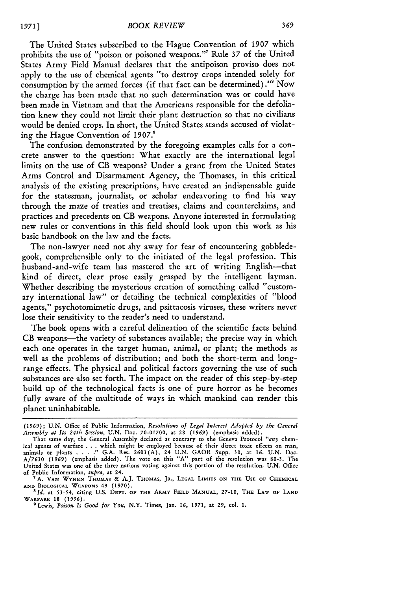The United States subscribed to the Hague Convention of **1907** which prohibits the use of "poison or poisoned weapons."' Rule **37** of the United States Army Field Manual declares that the antipoison proviso does not apply to the use of chemical agents "to destroy crops intended solely for consumption by the armed forces (if that fact can be determined)."' Now the charge has been made that no such determination was or could have been made in Vietnam and that the Americans responsible for the defoliation knew they could not limit their plant destruction so that no civilians would be denied crops. In short, the United States stands accused of violating the Hague Convention of **1907.9**

The confusion demonstrated by the foregoing examples calls for a concrete answer to the question: What exactly are the international legal limits on the use of **CB** weapons? Under a grant from the United States Arms Control and Disarmament Agency, the Thomases, in this critical analysis of the existing prescriptions, have created an indispensable guide for the statesman, journalist, or scholar endeavoring to find his way through the maze of treaties and treatises, claims and counterclaims, and practices and precedents on **CB** weapons. Anyone interested in formulating new rules or conventions in this field should look upon this work as his basic handbook on the law and the facts.

The non-lawyer need not shy away for fear of encountering gobbledegook, comprehensible only to the initiated of the legal profession. This husband-and-wife team has mastered the art of writing English--that kind of direct, clear prose easily grasped by the intelligent layman. Whether describing the mysterious creation of something called "customary international law" or detailing the technical complexities of "blood agents," psychotomimetic drugs, and psittacosis viruses, these writers never lose their sensitivity to the reader's need to understand.

The book opens with a careful delineation of the scientific facts behind CB weapons-the variety of substances available; the precise way in which each one operates in the target human, animal, or plant; the methods as well as the problems of distribution; and both the short-term and longrange effects. The physical and political factors governing the use of such substances are also set forth. The impact on the reader of this step-by-step build up of the technological facts is one of pure horror as he becomes fully aware of the multitude of ways in which mankind can render this planet uninhabitable.

*<sup>(1969);</sup>* **U.N.** Office of Public Information, *Resolutions of Legal Interest Adopted by the General Assembly at Its 24th Session,* U.N. Doc. 70-01700, at 28 (1969) (emphasis added).

That same day, the General Assembly declared as contrary to the Geneva Protocol *"any* chemical agents of warfare . . . which might be employed because of their direct toxic effects on man,<br>animals or plants . . . ." G.A. Res. 2603(A), 24 U.N. GAOR Supp. 30, at 16, U.N. Doc.<br>A/7630 (1969) (emphasis added). The v United States was one of the three nations voting against this **portion of** the resolution. **U.N.** Office of Public Information, *supra,* at 24. **" A.** VAN **WYNEN THOMAS &** A.J. **THOMAS,** JR., **LEGAL** LIMITS **ON** THE USE *OF* CHEMICAL

**AND BIOLOGICAL** WEAPONS 49 **(1970).** *sId.* at 53-54, citing U.S. DEPT. **OF** THE ARMY **FIELD MANUAL,** 27-10, THE **LAW** OF **LAND WARFARE 18 (1956).**

**<sup>9</sup>** Lewis, *Poison Is Good for You,* N.Y. Times, Jan. *16, 1971,* at 29, col. **1.**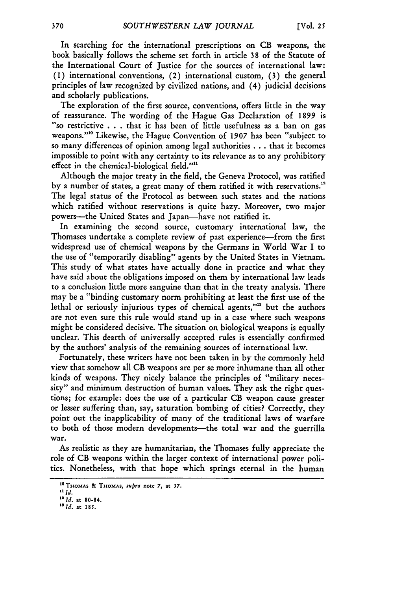In searching for the international prescriptions on CB weapons, the book basically follows the scheme set forth in article 38 of the Statute of the International Court of Justice for the sources of international law: (1) international conventions, (2) international custom, (3) the general principles of law recognized by civilized nations, and (4) judicial decisions and scholarly publications.

The exploration of the first source, conventions, offers little in the way of reassurance. The wording of the Hague Gas Declaration of 1899 is "so restrictive . . **.**that it has been of little usefulness as a ban on gas weapons."'0 Likewise, the Hague Convention of 1907 has been "subject to so many differences of opinion among legal authorities.., that it becomes impossible to point with any certainty to its relevance as to any prohibitory effect in the chemical-biological field.""

Although the major treaty in the field, the Geneva Protocol, was ratified by a number of states, a great many of them ratified it with reservations.<sup>12</sup> The legal status of the Protocol as between such states and the nations which ratified without reservations is quite hazy. Moreover, two major powers-the United States and Japan-have not ratified it.

In examining the second source, customary international law, the Thomases undertake a complete review of past experience-from the first widespread use of chemical weapons by the Germans in World War I to the use of "temporarily disabling" agents by the United States in Vietnam. This study of what states have actually done in practice and what they have said about the obligations imposed on them by international law leads to a conclusion little more sanguine than that in the treaty analysis. There may be a "binding customary norm prohibiting at least the first use of the lethal or seriously injurious types of chemical agents,"<sup>13</sup> but the authors are not even sure this rule would stand up in a case where such weapons might be considered decisive. The situation on biological weapons is equally unclear. This dearth of universally accepted rules is essentially confirmed by the authors' analysis of the remaining sources of international law.

Fortunately, these writers have not been taken in by the commonly held view that somehow all CB weapons are per se more inhumane than all other kinds of weapons. They nicely balance the principles of "military necessity" and minimum destruction of human values. They ask the right questions; for example: does the use of a particular CB weapon cause greater or lesser suffering than, say, saturation bombing of cities? Correctly, they point out the inapplicability of many of the traditional laws of warfare to both of those modern developments--- the total war and the guerrilla war.

As realistic as they are humanitarian, the Thomases fully appreciate the role of CB weapons within the larger context of international power politics. Nonetheless, with that hope which springs eternal in the human

370

I0TmOMAS **& THOMAS,** supra **note 7,** at **57.**

**it ld.** *"2 Id.* at **80-84.**

*<sup>&#</sup>x27; 3 Id.* at **185.**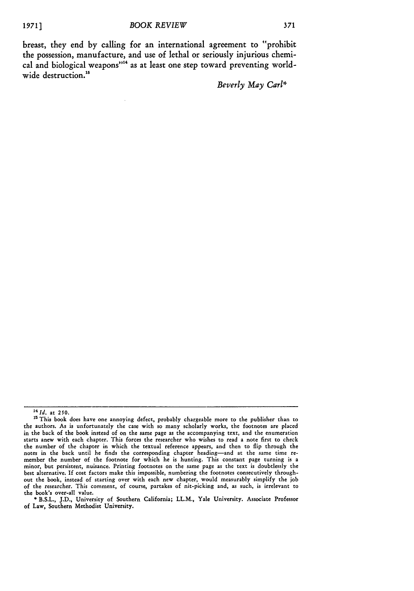breast, they end **by** calling for an international agreement to "prohibit the possession, manufacture, and use of lethal or seriously injurious chemical and biological weapons"<sup>14</sup> as at least one step toward preventing worldwide destruction.<sup>15</sup>

*Beverly May Carl\**

*<sup>14</sup>id.* at **2\$0.**

<sup>&</sup>lt;sup>15</sup> This book does have one annoying defect, probably chargeable more to the publisher than to the authors. As is unfortunately the case with so many scholarly works, the footnotes are placed in the back of the book instead of on the same page as the accompanying text, and the enumeration starts anew with each chapter. This forces the researcher who wishes to read a note first to check the number of the chapter in which the textual reference appears, and then to flip through the notes in the back until he finds the corresponding chapter heading-and at the same time remember the number of the footnote for which he is hunting. This constant page turning is a minor, but persistent, nuisance. Printing footnotes on the same page as the text is doubtlessly the best alternative. **If** cost factors make this impossible, numbering the footnotes consecutively throughout the book, instead of starting over with each new chapter, would measurably simplify the **job** of the researcher. This comment, of course, partakes of nit-picking and, as such, is irrelevant to the book's over-all value.

**<sup>\*</sup>** B.S.L., J.D., University of Southern California; LL.M., Yale University. Associate Professor of Law, Southern Methodist University.